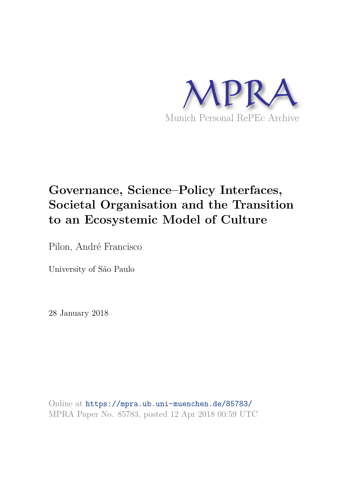

## **Governance, Science–Policy Interfaces, Societal Organisation and the Transition to an Ecosystemic Model of Culture**

Pilon, André Francisco

University of São Paulo

28 January 2018

Online at https://mpra.ub.uni-muenchen.de/85783/ MPRA Paper No. 85783, posted 12 Apr 2018 00:59 UTC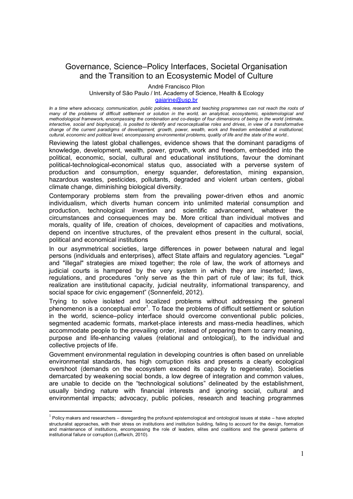## Governance, Science–Policy Interfaces, Societal Organisation and the Transition to an Ecosystemic Model of Culture

André Francisco Pilon

University of São Paulo / Int. Academy of Science, Health & Ecology

gaiarine@usp.br

*In a time where advocacy, communication, public policies, research and teaching programmes can not reach the roots of*  many of the problems of difficult settlement or solution in the world, an analytical, ecosystemic, epistemological and *methodological framework, encompassing the combination and co-design of four dimensions of being in the world (intimate, interactive, social and biophysical), is posited to identify and reconceptualise roles and drives, in view of a transformative change of the current paradigms of development, growth, power, wealth, work and freedom embedded at institutional, cultural, economic and political level, encompassing environmental problems, quality of life and the state of the world..* 

Reviewing the latest global challenges, evidence shows that the dominant paradigms of knowledge, development, wealth, power, growth, work and freedom, embedded into the political, economic, social, cultural and educational institutions, favour the dominant political-technological-economical status quo, associated with a perverse system of production and consumption, energy squander, deforestation, mining expansion, hazardous wastes, pesticides, pollutants, degraded and violent urban centers, global climate change, diminishing biological diversity.

Contemporary problems stem from the prevailing power-driven ethos and anomic individualism, which diverts human concern into unlimited material consumption and production, technological invention and scientific advancement, whatever the circumstances and consequences may be. More critical than individual motives and morals, quality of life, creation of choices, development of capacities and motivations, depend on incentive structures, of the prevalent ethos present in the cultural, social, political and economical institutions

In our asymmetrical societies, large differences in power between natural and legal persons (individuals and enterprises), affect State affairs and regulatory agencies. "Legal" and "illegal" strategies are mixed together; the role of law, the work of attorneys and judicial courts is hampered by the very system in which they are inserted; laws, regulations, and procedures "only serve as the thin part of rule of law; its full, thick realization are institutional capacity, judicial neutrality, informational transparency, and social space for civic engagement" (Sonnenfeld, 2012).

Trying to solve isolated and localized problems without addressing the general phenomenon is a conceptual error<sup>1</sup>. To face the problems of difficult settlement or solution in the world, science–policy interface should overcome conventional public policies, segmented academic formats, market-place interests and mass-media headlines, which accommodate people to the prevailing order, instead of preparing them to carry meaning, purpose and life-enhancing values (relational and ontological), to the individual and collective projects of life.

Government environmental regulation in developing countries is often based on unreliable environmental standards, has high corruption risks and presents a clearly ecological overshoot (demands on the ecosystem exceed its capacity to regenerate). Societies demarcated by weakening social bonds, a low degree of integration and common values, are unable to decide on the "technological solutions" delineated by the establishment, usually binding nature with financial interests and ignoring social, cultural and environmental impacts; advocacy, public policies, research and teaching programmes

-

 $1$  Policy makers and researchers – disregarding the profound epistemological and ontological issues at stake – have adopted structuralist approaches, with their stress on institutions and institution building, failing to account for the design, formation and maintenance of institutions, encompassing the role of leaders, elites and coalitions and the general patterns of institutional failure or corruption (Leftwich, 2010).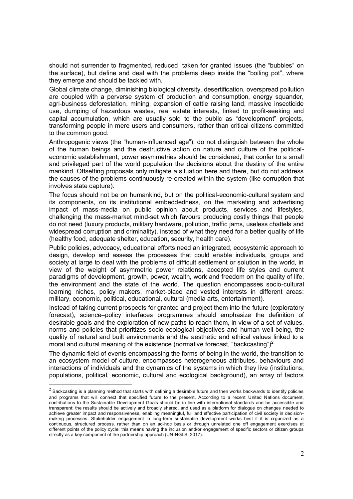should not surrender to fragmented, reduced, taken for granted issues (the "bubbles" on the surface), but define and deal with the problems deep inside the "boiling pot", where they emerge and should be tackled with.

Global climate change, diminishing biological diversity, desertification, overspread pollution are coupled with a perverse system of production and consumption, energy squander, agri-business deforestation, mining, expansion of cattle raising land, massive insecticide use, dumping of hazardous wastes, real estate interests, linked to profit-seeking and capital accumulation, which are usually sold to the public as "development" projects, transforming people in mere users and consumers, rather than critical citizens committed to the common good.

Anthropogenic views (the "human-influenced age"), do not distinguish between the whole of the human beings and the destructive action on nature and culture of the politicaleconomic establishment; power asymmetries should be considered, that confer to a small and privileged part of the world population the decisions about the destiny of the entire mankind. Offsetting proposals only mitigate a situation here and there, but do not address the causes of the problems continuously re-created within the system (like corruption that involves state capture).

The focus should not be on humankind, but on the political-economic-cultural system and its components, on its institutional embeddedness, on the marketing and advertising impact of mass-media on public opinion about products, services and lifestyles, challenging the mass-market mind-set which favours producing costly things that people do not need (luxury products, military hardware, pollution, traffic jams, useless chattels and widespread corruption and criminality), instead of what they need for a better quality of life (healthy food, adequate shelter, education, security, health care).

Public policies, advocacy, educational efforts need an integrated, ecosystemic approach to design, develop and assess the processes that could enable individuals, groups and society at large to deal with the problems of difficult settlement or solution in the world, in view of the weight of asymmetric power relations, accepted life styles and current paradigms of development, growth, power, wealth, work and freedom on the quality of life, the environment and the state of the world. The question encompasses socio-cultural learning niches, policy makers, market-place and vested interests in different areas: military, economic, political, educational, cultural (media arts, entertainment).

Instead of taking current prospects for granted and project them into the future (exploratory forecast), science–policy interfaces programmes should emphasize the definition of desirable goals and the exploration of new paths to reach them, in view of a set of values, norms and policies that prioritizes socio-ecological objectives and human well-being, the quality of natural and built environments and the aesthetic and ethical values linked to a moral and cultural meaning of the existence (normative forecast, "backcasting")<sup>2</sup>.

The dynamic field of events encompassing the forms of being in the world, the transition to an ecosystem model of culture, encompasses heterogeneous attributes, behaviours and interactions of individuals and the dynamics of the systems in which they live (institutions, populations, political, economic, cultural and ecological background), an array of factors

-

 $^2$  Backcasting is a planning method that starts with defining a desirable future and then works backwards to identify policies and programs that will connect that specified future to the present. According to a recent United Nations document, contributions to the Sustainable Development Goals should be in line with international standards and be accessible and transparent; the results should be actively and broadly shared, and used as a platform for dialogue on changes needed to achieve greater impact and responsiveness, enabling meaningful, full and effective participation of civil society in decisionmaking processes. Stakeholder engagement in long-term sustainable development works best if it is organized as a continuous, structured process, rather than on an ad-hoc basis or through unrelated one off engagement exercises at different points of the policy cycle; this means having the inclusion and/or engagement of specific sectors or citizen groups directly as a key component of the partnership approach (UN-NGLS, 2017).